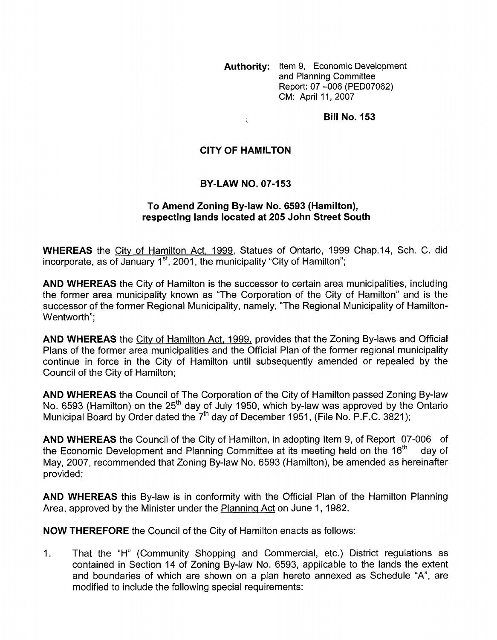**Authority:** Item 9, Economic Development and Planning Committee Report: 07 -006 (PED07062) CM: April 11, 2007

**Bill No. 153** 

## **CITY OF HAMILTON**

 $\frac{\pi}{4}$ 

### **BY-LAW NO. 07-153**

#### To Amend Zoning By-law No. 6593 (Hamilton), **respecting lands located at 205 John Street South**

**WHEREAS** the City of Hamilton Act, 1999, Statues of Ontario, 1999 Chap.14, Sch. C. did incorporate, as of January 1<sup>st</sup>, 2001, the municipality "City of Hamilton";

**AND WHEREAS** the City of Hamilton is the successor to certain area municipalities, including the former area municipality known as "The Corporation of the City of Hamilton" and is the successor of the former Regional Municipality, namely, "The Regional Municipality of Hamilton-Wentworth":

**AND WHEREAS** the City of Hamilton Act, 1999, provides that the Zoning By-laws and Official Plans of the former area municipalities and the Official Plan of the former regional municipality continue in force in the City of Hamilton until subsequently amended or repealed by the Council of the City of Hamilton;

**AND WHEREAS** the Council of The Corporation of the City of Hamilton passed Zoning By-law No. 6593 (Hamilton) on the 25<sup>th</sup> day of July 1950, which by-law was approved by the Ontario Municipal Board by Order dated the 7'h day of December 1951, (File No. P.F.C. 3821);

**AND WHEREAS** the Council of the City of Hamilton, in adopting Item 9, of Report 07-006 of the Economic Development and Planning Committee at its meeting held on the  $16<sup>th</sup>$  day of May, 2007, recommended that Zoning By-law No. 6593 (Hamilton), be amended as hereinafter provided;

**AND WHEREAS** this By-law is in conformity with the Official Plan of the Hamilton Planning Area, approved by the Minister under the Planninq Act on June 1, 1982.

**NOW THEREFORE** the Council of the City of Hamilton enacts as follows:

1. That the "H" (Community Shopping and Commercial, etc.) District regulations as contained in Section 14 of Zoning By-law No. 6593, applicable to the lands the extent and boundaries of which are shown on a plan hereto annexed as Schedule "A", are modified to include the following special requirements: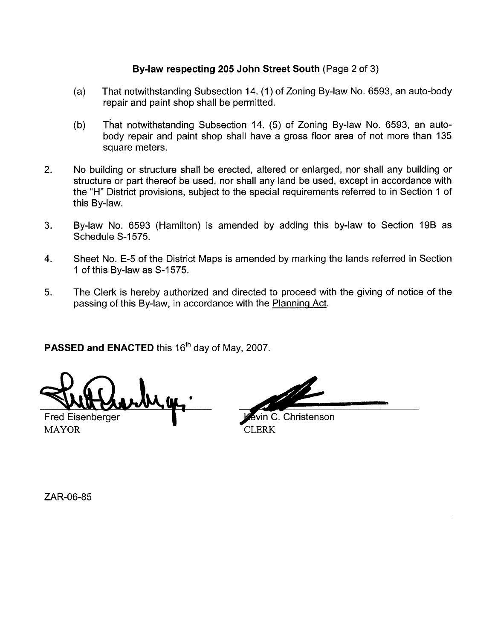# **Bylaw respecting 205 John Street South** (Page 2 of 3)

- (a) That notwithstanding Subsection 14. (1) of Zoning By-law No. 6593, an auto-body repair and paint shop shall be permitted.
- (b) That notwithstanding Subsection 14. (5) of Zoning By-law No. 6593, an autobody repair and paint shop shall have a gross floor area of not more than 135 square meters.
- 2. No building or structure shall be erected, altered or enlarged, nor shall any building or structure or part thereof be used, nor shall any land be used, except in accordance with the "H" District provisions, subject to the special requirements referred to in Section 1 of this By-law.
- 3. By-law No. 6593 (Hamilton) is amended by adding this by-law to Section 19B as Schedule S-1575.
- **4.** Sheet No. E-5 of the District Maps is amended by marking the lands referred in Section 1 of this By-law as S-1575.
- 5. The Clerk is hereby authorized and directed to proceed with the giving of notice of the passing of this By-law, in accordance with the Planning Act.

PASSED and ENACTED this 16<sup>th</sup> day of May, 2007.

Fred Eisenberger

MAYOR CLERK

n C. Christenson

ZAR-06-85